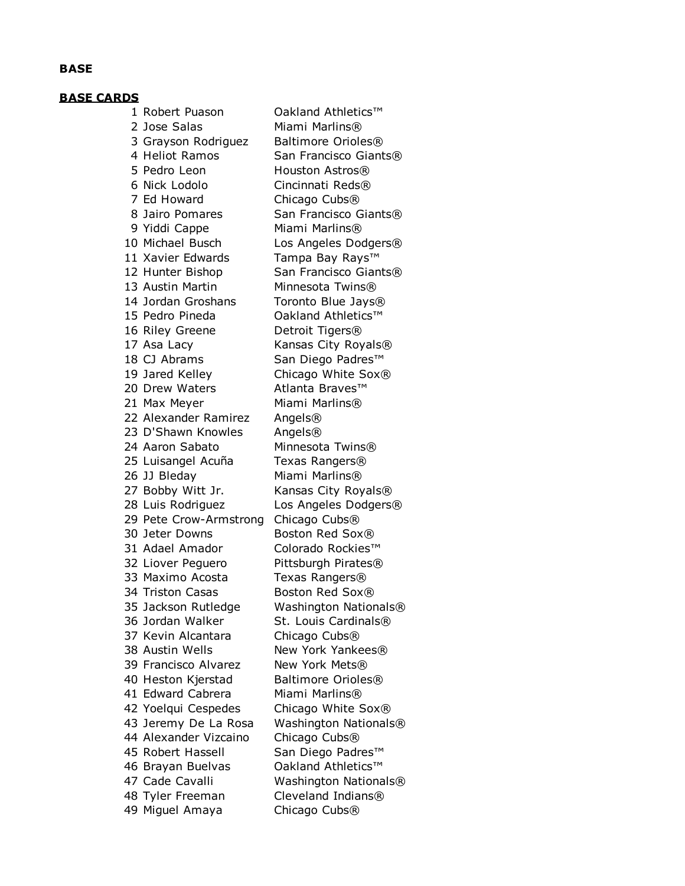#### **BASE**

#### **BASE CARDS**

1 Robert Puason Cakland Athletics™ 2 Jose Salas Miami Marlins® 3 Grayson Rodriguez Baltimore Orioles® 4 Heliot Ramos San Francisco Giants® 5 Pedro Leon Houston Astros® 6 Nick Lodolo Cincinnati Reds® 7 Ed Howard Chicago Cubs® 8 Jairo Pomares San Francisco Giants® 9 Yiddi Cappe Miami Marlins® 10 Michael Busch Los Angeles Dodgers® 11 Xavier Edwards Tampa Bay Rays™ 12 Hunter Bishop San Francisco Giants® 13 Austin Martin Minnesota Twins® 14 Jordan Groshans Toronto Blue Jays® 15 Pedro Pineda Oakland Athletics™ 16 Riley Greene Detroit Tigers® 17 Asa Lacy Kansas City Royals® 18 CJ Abrams San Diego Padres<sup>™</sup> 19 Jared Kelley Chicago White Sox® 20 Drew Waters Atlanta Braves™ 21 Max Meyer Miami Marlins® 22 Alexander Ramirez Angels® 23 D'Shawn Knowles Angels® 24 Aaron Sabato Minnesota Twins® 25 Luisangel Acuña Texas Rangers® 26 JJ Bleday Miami Marlins® 27 Bobby Witt Jr. Kansas City Royals® 28 Luis Rodriguez Los Angeles Dodgers® 29 Pete Crow-Armstrong Chicago Cubs® 30 Jeter Downs Boston Red Sox® 31 Adael Amador Colorado Rockies™ 32 Liover Pequero Pittsburgh Pirates® 33 Maximo Acosta Texas Rangers® 34 Triston Casas Boston Red Sox® 35 Jackson Rutledge Washington Nationals® 36 Jordan Walker St. Louis Cardinals® 37 Kevin Alcantara Chicago Cubs® 38 Austin Wells New York Yankees® 39 Francisco Alvarez New York Mets® 40 Heston Kierstad Baltimore Orioles® 41 Edward Cabrera Miami Marlins® 42 Yoelqui Cespedes Chicago White Sox® 43 Jeremy De La Rosa Washington Nationals® 44 Alexander Vizcaino Chicago Cubs® 45 Robert Hassell San Diego Padres™ 46 Brayan Buelvas Oakland Athletics™ 47 Cade Cavalli Washington Nationals® 48 Tyler Freeman Cleveland Indians® 49 Miguel Amaya Chicago Cubs®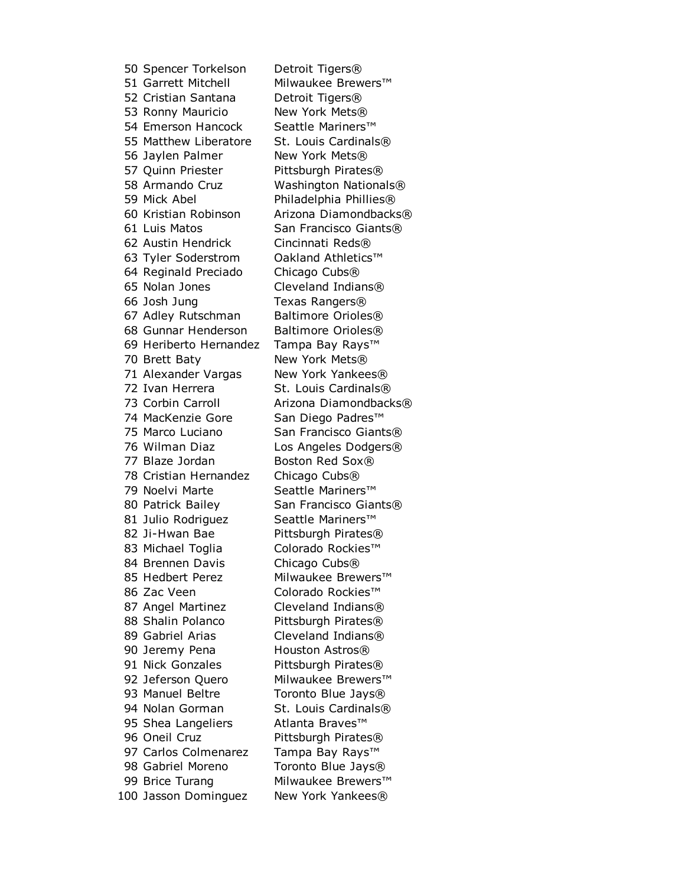50 Spencer Torkelson Detroit Tigers® 51 Garrett Mitchell Milwaukee Brewers™ 52 Cristian Santana Detroit Tigers® 53 Ronny Mauricio New York Mets® 54 Emerson Hancock Seattle Mariners™ 55 Matthew Liberatore St. Louis Cardinals® 56 Jaylen Palmer New York Mets® 57 Quinn Priester Pittsburgh Pirates® 58 Armando Cruz Washington Nationals® 59 Mick Abel Philadelphia Phillies® 60 Kristian Robinson Arizona Diamondbacks® 61 Luis Matos San Francisco Giants® 62 Austin Hendrick Cincinnati Reds® 63 Tyler Soderstrom Oakland Athletics™ 64 Reginald Preciado Chicago Cubs® 65 Nolan Jones Cleveland Indians® 66 Josh Jung Texas Rangers® 67 Adley Rutschman Baltimore Orioles® 68 Gunnar Henderson Baltimore Orioles® 69 Heriberto Hernandez Tampa Bay Rays™ 70 Brett Baty New York Mets® 71 Alexander Vargas New York Yankees® 72 Ivan Herrera St. Louis Cardinals® 73 Corbin Carroll **Arizona Diamondbacks®** 74 MacKenzie Gore San Diego Padres™ 75 Marco Luciano San Francisco Giants® 76 Wilman Diaz Los Angeles Dodgers® 77 Blaze Jordan Boston Red Sox® 78 Cristian Hernandez Chicago Cubs® 79 Noelvi Marte Seattle Mariners™ 80 Patrick Bailey San Francisco Giants® 81 Julio Rodriguez Seattle Mariners™ 82 Ji-Hwan Bae Pittsburgh Pirates® 83 Michael Toglia Colorado Rockies™ 84 Brennen Davis Chicago Cubs® 85 Hedbert Perez Milwaukee Brewers™ 86 Zac Veen Colorado Rockies™ 87 Angel Martinez Cleveland Indians® 88 Shalin Polanco Pittsburgh Pirates® 89 Gabriel Arias Cleveland Indians® 90 Jeremy Pena Houston Astros<sup>®</sup> 91 Nick Gonzales Pittsburgh Pirates® 92 Jeferson Quero Milwaukee Brewers™ 93 Manuel Beltre Toronto Blue Jays® 94 Nolan Gorman St. Louis Cardinals® 95 Shea Langeliers Atlanta Braves™ 96 Oneil Cruz Pittsburgh Pirates® 97 Carlos Colmenarez Tampa Bay Rays™ 98 Gabriel Moreno Toronto Blue Jays® 99 Brice Turang Milwaukee Brewers™ 100 Jasson Dominguez New York Yankees®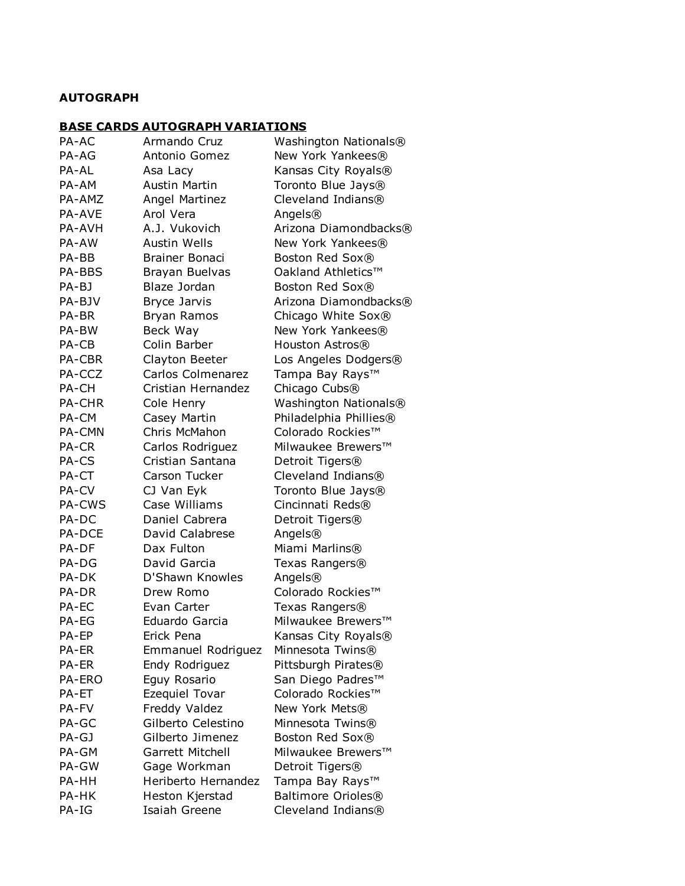## **AUTOGRAPH**

# **BASE CARDS AUTOGRAPH VARIATIONS**

| PA-AC         | Armando Cruz          | Washington Nationals®     |
|---------------|-----------------------|---------------------------|
| PA-AG         | Antonio Gomez         | New York Yankees®         |
| PA-AL         | Asa Lacy              | Kansas City Royals®       |
| PA-AM         | <b>Austin Martin</b>  | Toronto Blue Jays®        |
| PA-AMZ        | Angel Martinez        | Cleveland Indians®        |
| <b>PA-AVE</b> | Arol Vera             | Angels®                   |
| PA-AVH        | A.J. Vukovich         | Arizona Diamondbacks®     |
| PA-AW         | <b>Austin Wells</b>   | New York Yankees®         |
| PA-BB         | <b>Brainer Bonaci</b> | Boston Red Sox®           |
| PA-BBS        | Brayan Buelvas        | Oakland Athletics™        |
| PA-BJ         | Blaze Jordan          | Boston Red Sox®           |
| PA-BJV        | Bryce Jarvis          | Arizona Diamondbacks®     |
| PA-BR         | Bryan Ramos           | Chicago White Sox®        |
| PA-BW         | Beck Way              | New York Yankees®         |
| PA-CB         | Colin Barber          | Houston Astros®           |
| PA-CBR        | Clayton Beeter        | Los Angeles Dodgers®      |
| PA-CCZ        | Carlos Colmenarez     | Tampa Bay Rays™           |
| PA-CH         | Cristian Hernandez    | Chicago Cubs <sup>®</sup> |
| PA-CHR        | Cole Henry            | Washington Nationals®     |
| PA-CM         | Casey Martin          | Philadelphia Phillies®    |
| PA-CMN        | Chris McMahon         | Colorado Rockies™         |
| PA-CR         | Carlos Rodriguez      | Milwaukee Brewers™        |
| PA-CS         | Cristian Santana      | Detroit Tigers®           |
| PA-CT         | Carson Tucker         | Cleveland Indians®        |
| PA-CV         | CJ Van Eyk            | Toronto Blue Jays®        |
| PA-CWS        | Case Williams         | Cincinnati Reds®          |
| PA-DC         | Daniel Cabrera        | Detroit Tigers®           |
| PA-DCE        | David Calabrese       | Angels®                   |
| PA-DF         | Dax Fulton            | Miami Marlins®            |
| PA-DG         | David Garcia          | Texas Rangers®            |
| PA-DK         | D'Shawn Knowles       | Angels®                   |
| PA-DR         | Drew Romo             | Colorado Rockies™         |
| PA-EC         | Evan Carter           | Texas Rangers®            |
| PA-EG         | Eduardo Garcia        | Milwaukee Brewers™        |
| PA-EP         | Erick Pena            | Kansas City Royals®       |
| PA-ER         | Emmanuel Rodriguez    | Minnesota Twins®          |
| PA-ER         | Endy Rodriguez        | Pittsburgh Pirates®       |
| PA-ERO        | Eguy Rosario          | San Diego Padres™         |
| PA-ET         | Ezequiel Tovar        | Colorado Rockies™         |
| PA-FV         | Freddy Valdez         | New York Mets®            |
| PA-GC         | Gilberto Celestino    | Minnesota Twins®          |
| PA-GJ         | Gilberto Jimenez      | Boston Red Sox®           |
| PA-GM         | Garrett Mitchell      | Milwaukee Brewers™        |
| PA-GW         | Gage Workman          | Detroit Tigers®           |
| PA-HH         | Heriberto Hernandez   | Tampa Bay Rays™           |
| PA-HK         | Heston Kjerstad       | Baltimore Orioles®        |
| PA-IG         | Isaiah Greene         | Cleveland Indians®        |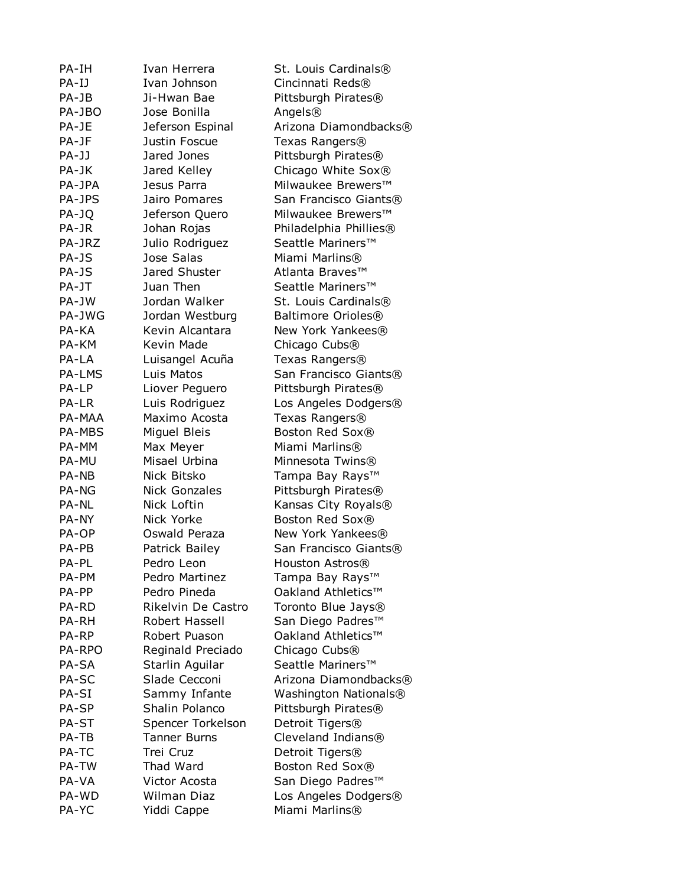| PA-IH         | Ivan Herrera         | St. Louis Cardinals®                    |
|---------------|----------------------|-----------------------------------------|
| PA-IJ         | Ivan Johnson         | Cincinnati Reds®                        |
| PA-JB         | Ji-Hwan Bae          | Pittsburgh Pirates®                     |
| PA-JBO        | Jose Bonilla         | Angels®                                 |
| PA-JE         | Jeferson Espinal     | Arizona Diamondbacks®                   |
| PA-JF         | Justin Foscue        | Texas Rangers®                          |
| PA-JJ         | Jared Jones          | Pittsburgh Pirates®                     |
| PA-JK         | Jared Kelley         | Chicago White Sox®                      |
| PA-JPA        | Jesus Parra          | Milwaukee Brewers™                      |
| PA-JPS        | Jairo Pomares        | San Francisco Giants®                   |
| PA-JQ         | Jeferson Quero       | Milwaukee Brewers™                      |
| PA-JR         | Johan Rojas          | Philadelphia Phillies®                  |
| PA-JRZ        | Julio Rodriguez      | Seattle Mariners™                       |
|               |                      |                                         |
| PA-JS         | Jose Salas           | Miami Marlins®                          |
| PA-JS         | Jared Shuster        | Atlanta Braves™                         |
| PA-JT         | Juan Then            | Seattle Mariners™                       |
| PA-JW         | Jordan Walker        | St. Louis Cardinals®                    |
| PA-JWG        | Jordan Westburg      | Baltimore Orioles®                      |
| PA-KA         | Kevin Alcantara      | New York Yankees®                       |
| PA-KM         | Kevin Made           | Chicago Cubs <sup>®</sup>               |
| PA-LA         | Luisangel Acuña      | Texas Rangers®                          |
| PA-LMS        | Luis Matos           | San Francisco Giants®                   |
| PA-LP         | Liover Peguero       | Pittsburgh Pirates®                     |
| PA-LR         | Luis Rodriguez       | Los Angeles Dodgers®                    |
| PA-MAA        | Maximo Acosta        | Texas Rangers®                          |
| <b>PA-MBS</b> | Miguel Bleis         | Boston Red Sox®                         |
| PA-MM         | Max Meyer            | Miami Marlins®                          |
| PA-MU         | Misael Urbina        | Minnesota Twins®                        |
| PA-NB         | Nick Bitsko          | Tampa Bay Rays™                         |
| PA-NG         | <b>Nick Gonzales</b> | Pittsburgh Pirates®                     |
| PA-NL         | Nick Loftin          | Kansas City Royals®                     |
| PA-NY         | Nick Yorke           | Boston Red Sox®                         |
| PA-OP         | Oswald Peraza        | New York Yankees®                       |
| PA-PB         | Patrick Bailey       | San Francisco Giants®                   |
| PA-PL         | Pedro Leon           | Houston Astros®                         |
| PA-PM         | Pedro Martinez       | Tampa Bay Rays™                         |
| PA-PP         | Pedro Pineda         | Oakland Athletics™                      |
| PA-RD         | Rikelvin De Castro   | Toronto Blue Jays®                      |
|               | Robert Hassell       |                                         |
| PA-RH         |                      | San Diego Padres™<br>Oakland Athletics™ |
| PA-RP         | Robert Puason        |                                         |
| PA-RPO        | Reginald Preciado    | Chicago Cubs <sup>®</sup>               |
| PA-SA         | Starlin Aguilar      | Seattle Mariners™                       |
| PA-SC         | Slade Cecconi        | Arizona Diamondbacks®                   |
| PA-SI         | Sammy Infante        | Washington Nationals®                   |
| PA-SP         | Shalin Polanco       | Pittsburgh Pirates®                     |
| PA-ST         | Spencer Torkelson    | Detroit Tigers®                         |
| PA-TB         | <b>Tanner Burns</b>  | Cleveland Indians®                      |
| PA-TC         | Trei Cruz            | Detroit Tigers <sup>®</sup>             |
| PA-TW         | Thad Ward            | Boston Red Sox®                         |
| PA-VA         | Victor Acosta        | San Diego Padres™                       |
| PA-WD         | <b>Wilman Diaz</b>   | Los Angeles Dodgers®                    |
| PA-YC         | Yiddi Cappe          | Miami Marlins®                          |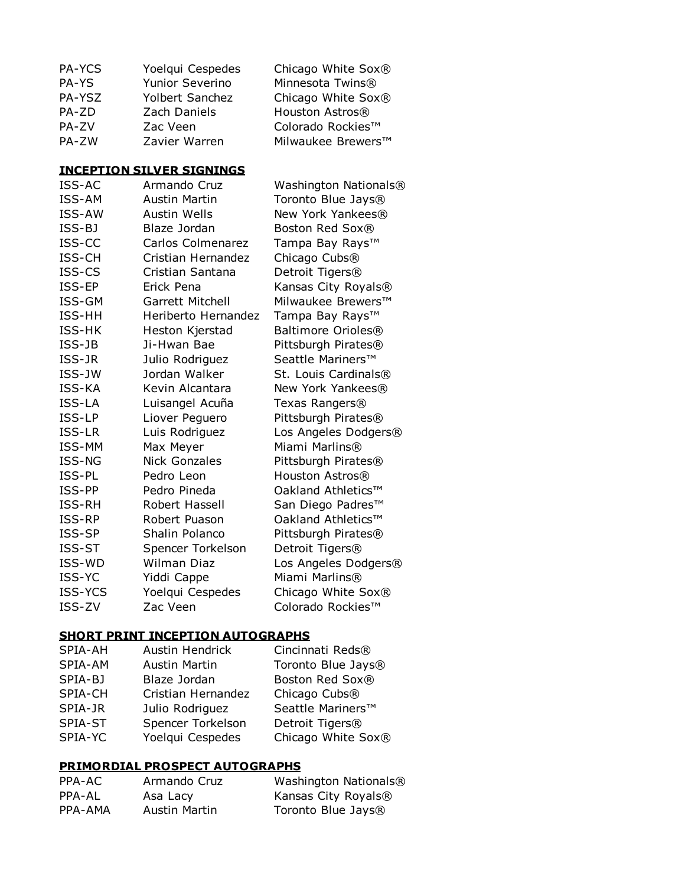| PA-YCS        | Yoelqui Cespedes                 | Chicago White Sox®        |
|---------------|----------------------------------|---------------------------|
| PA-YS         | Yunior Severino                  | Minnesota Twins®          |
| PA-YSZ        | Yolbert Sanchez                  | Chicago White Sox®        |
| PA-ZD         | Zach Daniels                     | Houston Astros®           |
| PA-ZV         | Zac Veen                         | Colorado Rockies™         |
| PA-ZW         | Zavier Warren                    | Milwaukee Brewers™        |
|               | <b>INCEPTION SILVER SIGNINGS</b> |                           |
| ISS-AC        | Armando Cruz                     | Washington Nationals®     |
| ISS-AM        | <b>Austin Martin</b>             | Toronto Blue Jays®        |
| ISS-AW        | <b>Austin Wells</b>              | New York Yankees®         |
| ISS-BJ        | Blaze Jordan                     | Boston Red Sox®           |
| ISS-CC        | Carlos Colmenarez                | Tampa Bay Rays™           |
| ISS-CH        | Cristian Hernandez               | Chicago Cubs <sup>®</sup> |
| ISS-CS        | Cristian Santana                 | Detroit Tigers®           |
| ISS-EP        | Erick Pena                       | Kansas City Royals®       |
| ISS-GM        | Garrett Mitchell                 | Milwaukee Brewers™        |
| ISS-HH        | Heriberto Hernandez              | Tampa Bay Rays™           |
| ISS-HK        | Heston Kjerstad                  | Baltimore Orioles®        |
| ISS-JB        | Ji-Hwan Bae                      | Pittsburgh Pirates®       |
| ISS-JR        | Julio Rodriguez                  | Seattle Mariners™         |
| ISS-JW        | Jordan Walker                    | St. Louis Cardinals®      |
| ISS-KA        | Kevin Alcantara                  | New York Yankees®         |
| ISS-LA        | Luisangel Acuña                  | Texas Rangers®            |
| ISS-LP        | Liover Peguero                   | Pittsburgh Pirates®       |
| ISS-LR        | Luis Rodriguez                   | Los Angeles Dodgers®      |
| ISS-MM        | Max Meyer                        | Miami Marlins®            |
| ISS-NG        | <b>Nick Gonzales</b>             | Pittsburgh Pirates®       |
| ISS-PL        | Pedro Leon                       | Houston Astros®           |
| ISS-PP        | Pedro Pineda                     | Oakland Athletics™        |
| ISS-RH        | Robert Hassell                   | San Diego Padres™         |
| ISS-RP        | Robert Puason                    | Oakland Athletics™        |
| ISS-SP        | Shalin Polanco                   | Pittsburgh Pirates®       |
| <b>ISS-ST</b> | Spencer Torkelson                | Detroit Tigers®           |
| ISS-WD        | <b>Wilman Diaz</b>               | Los Angeles Dodgers®      |
| ISS-YC        | Yiddi Cappe                      | Miami Marlins®            |
| ISS-YCS       | Yoelqui Cespedes                 | Chicago White Sox®        |
| ISS-ZV        | Zac Veen                         | Colorado Rockies™         |
|               |                                  |                           |

## **SHORT PRINT INCEPTION AUTOGRAPHS**

| Austin Hendrick      | Cincinnati Reds®   |
|----------------------|--------------------|
| <b>Austin Martin</b> | Toronto Blue Jays® |
| Blaze Jordan         | Boston Red Sox®    |
| Cristian Hernandez   | Chicago Cubs®      |
| Julio Rodriguez      | Seattle Mariners™  |
| Spencer Torkelson    | Detroit Tigers®    |
| Yoelqui Cespedes     | Chicago White Sox® |
|                      |                    |

### **PRIMORDIAL PROSPECT AUTOGRAPHS**

| PPA-AC  | Armando Cruz  | Washington Nationals®          |
|---------|---------------|--------------------------------|
| PPA-AL  | Asa Lacy      | Kansas City Royals®            |
| PPA-AMA | Austin Martin | Toronto Blue Jays <sup>®</sup> |